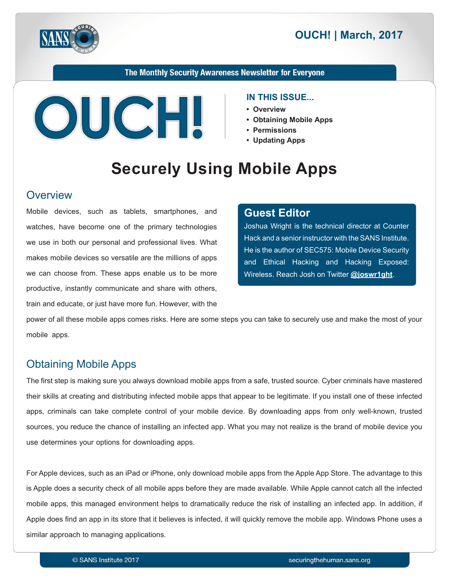



The Monthly Security Awareness Newsletter for Everyone



#### **IN THIS ISSUE...**

- **Overview•**
- Obtaining Mobile Apps
- **Permissions•**
- Updating Apps

# **Securely Using Mobile Apps**

#### **Overview**

Mobile devices, such as tablets, smartphones, and watches, have become one of the primary technologies we use in both our personal and professional lives. What makes mobile devices so versatile are the millions of apps we can choose from. These apps enable us to be more productive, instantly communicate and share with others, train and educate, or just have more fun. However, with the

#### **Editor Guest**

Joshua Wright is the technical director at Counter Hack and a senior instructor with the SANS Institute. He is the author of SEC575: Mobile Device Security and Ethical Hacking and Hacking Exposed: Wireless. Reach Josh on Twitter @joswr1ght.

power of all these mobile apps comes risks. Here are some steps you can take to securely use and make the most of your mobile apps.

### **Obtaining Mobile Apps**

The first step is making sure you always download mobile apps from a safe, trusted source. Cyber criminals have mastered their skills at creating and distributing infected mobile apps that appear to be legitimate. If you install one of these infected apps, criminals can take complete control of your mobile device. By downloading apps from only well-known, trusted sources, you reduce the chance of installing an infected app. What you may not realize is the brand of mobile device you use determines your options for downloading apps.

For Apple devices, such as an iPad or iPhone, only download mobile apps from the Apple App Store. The advantage to this is Apple does a security check of all mobile apps before they are made available. While Apple cannot catch all the infected mobile apps, this managed environment helps to dramatically reduce the risk of installing an infected app. In addition, if Apple does find an app in its store that it believes is infected, it will quickly remove the mobile app. Windows Phone uses a similar approach to managing applications.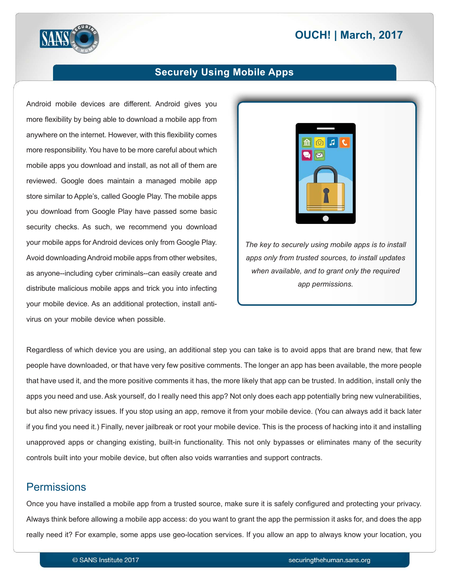# **2017 | OUCH! | March, 2017**



#### **Securely Using Mobile Apps**

Android mobile devices are different. Android gives you more flexibility by being able to download a mobile app from anywhere on the internet. However, with this flexibility comes more responsibility. You have to be more careful about which mobile apps you download and install, as not all of them are reviewed. Google does maintain a managed mobile app store similar to Apple's, called Google Play. The mobile apps you download from Google Play have passed some basic security checks. As such, we recommend you download your mobile apps for Android devices only from Google Play. Avoid downloading Android mobile apps from other websites, as anyone--including cyber criminals--can easily create and distribute malicious mobile apps and trick you into infecting your mobile device. As an additional protection, install anti-<br>virus on your mobile device when possible.



The key to securely using mobile apps is to install apps only from trusted sources, to install updates when available, and to grant only the required app permissions.

Regardless of which device you are using, an additional step you can take is to avoid apps that are brand new, that few people have downloaded, or that have very few positive comments. The longer an app has been available, the more people that have used it, and the more positive comments it has, the more likely that app can be trusted. In addition, install only the apps you need and use. Ask yourself, do I really need this app? Not only does each app potentially bring new vulnerabilities, but also new privacy issues. If you stop using an app, remove it from your mobile device. (You can always add it back later if you find you need it.) Finally, never jailbreak or root your mobile device. This is the process of hacking into it and installing unapproved apps or changing existing, built-in functionality. This not only bypasses or eliminates many of the security controls built into your mobile device, but often also voids warranties and support contracts.

#### **Permissions**

Once you have installed a mobile app from a trusted source, make sure it is safely configured and protecting your privacy. Always think before allowing a mobile app access: do you want to grant the app the permission it asks for, and does the app really need it? For example, some apps use geo-location services. If you allow an app to always know your location, you